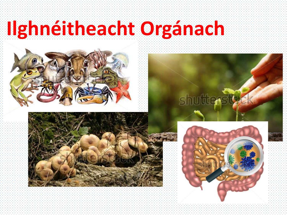# **Ilghnéitheacht Orgánach**







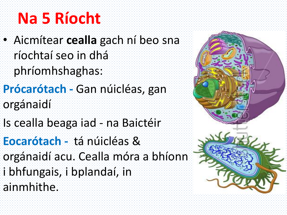#### **Na 5 Ríocht**

- Aicmítear **cealla** gach ní beo sna ríochtaí seo in dhá phríomhshaghas:
- **Prócarótach -** Gan núicléas, gan orgánaidí
- Is cealla beaga iad na Baictéir
- **Eocarótach -** tá núicléas &
- orgánaidí acu. Cealla móra a bhíonn
- i bhfungais, i bplandaí, in
- ainmhithe.

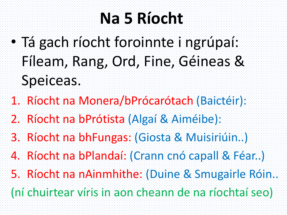## **Na 5 Ríocht**

- Tá gach ríocht foroinnte i ngrúpaí: Fíleam, Rang, Ord, Fine, Géineas & Speiceas.
- 1. Ríocht na Monera/bPrócarótach (Baictéir):
- 2. Ríocht na bPrótista (Algaí & Aiméibe):
- 3. Ríocht na bhFungas: (Giosta & Muisiriúin..)
- 4. Ríocht na bPlandaí: (Crann cnó capall & Féar..)
- 5. Ríocht na nAinmhithe: (Duine & Smugairle Róin..
- (ní chuirtear víris in aon cheann de na ríochtaí seo)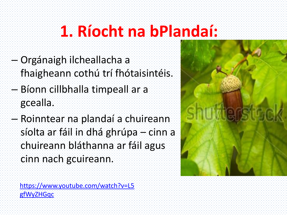# **1. Ríocht na bPlandaí:**

- Orgánaigh ilcheallacha a fhaigheann cothú trí fhótaisintéis.
- Bíonn cillbhalla timpeall ar a gcealla.
- Roinntear na plandaí a chuireann síolta ar fáil in dhá ghrúpa – cinn a chuireann bláthanna ar fáil agus cinn nach gcuireann.

[https://www.youtube.com/watch?v=L5](https://www.youtube.com/watch?v=L5gfWyZHGqc) gfWyZHGqc

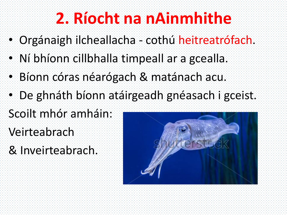## **2. Ríocht na nAinmhithe**

- Orgánaigh ilcheallacha cothú heitreatrófach.
- Ní bhíonn cillbhalla timpeall ar a gcealla.
- Bíonn córas néarógach & matánach acu.
- De ghnáth bíonn atáirgeadh gnéasach i gceist.
- Scoilt mhór amháin:
- Veirteabrach
- & Inveirteabrach.

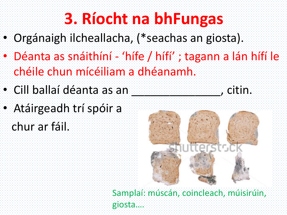### **3. Ríocht na bhFungas**

- Orgánaigh ilcheallacha, (\*seachas an giosta).
- Déanta as snáithíní 'hífe / hífí'; tagann a lán hífí le chéile chun mícéiliam a dhéanamh.
- Cill ballaí déanta as an zulla san baitin.
	-

• Atáirgeadh trí spóir a chur ar fáil.



Samplaí: múscán, coincleach, múisirúin, giosta….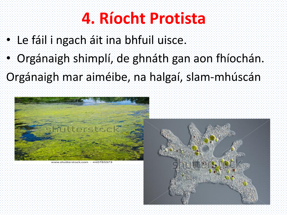## **4. Ríocht Protista**

- Le fáil i ngach áit ina bhfuil uisce.
- Orgánaigh shimplí, de ghnáth gan aon fhíochán.
- Orgánaigh mar aiméibe, na halgaí, slam-mhúscán



www.shutterstock.com -440785573